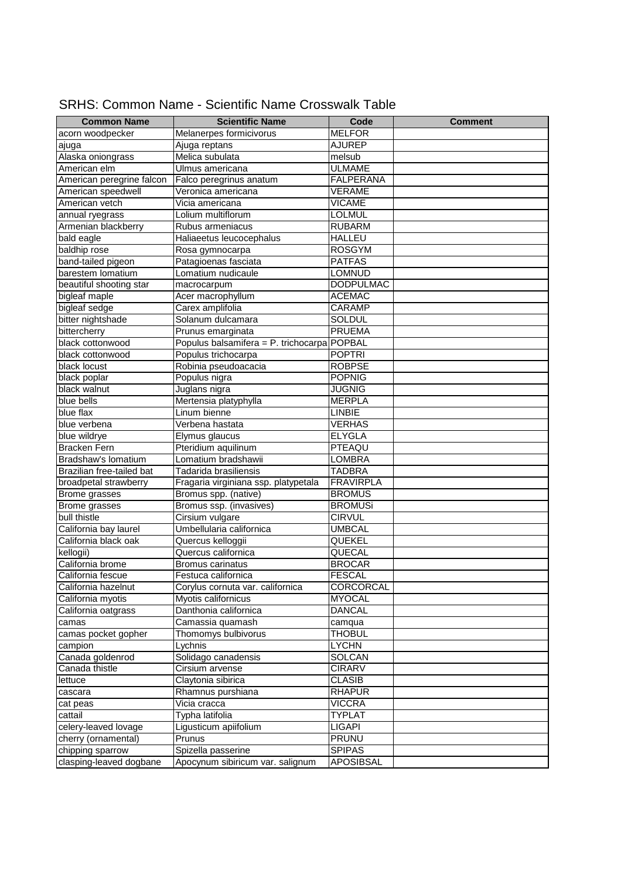| <b>Common Name</b>        | <b>Scientific Name</b>                      | Code             | <b>Comment</b> |
|---------------------------|---------------------------------------------|------------------|----------------|
| acorn woodpecker          | Melanerpes formicivorus                     | <b>MELFOR</b>    |                |
| ajuga                     | Ajuga reptans                               | <b>AJUREP</b>    |                |
| Alaska oniongrass         | Melica subulata                             | melsub           |                |
| American elm              | Ulmus americana                             | <b>ULMAME</b>    |                |
| American peregrine falcon | Falco peregrinus anatum                     | <b>FALPERANA</b> |                |
| American speedwell        | Veronica americana                          | VERAME           |                |
| American vetch            | Vicia americana                             | <b>VICAME</b>    |                |
| annual ryegrass           | Lolium multiflorum                          | <b>LOLMUL</b>    |                |
| Armenian blackberry       | Rubus armeniacus                            | <b>RUBARM</b>    |                |
| bald eagle                | Haliaeetus leucocephalus                    | <b>HALLEU</b>    |                |
| baldhip rose              | Rosa gymnocarpa                             | <b>ROSGYM</b>    |                |
| band-tailed pigeon        | Patagioenas fasciata                        | <b>PATFAS</b>    |                |
| barestem lomatium         | Lomatium nudicaule                          | <b>LOMNUD</b>    |                |
| beautiful shooting star   | macrocarpum                                 | <b>DODPULMAC</b> |                |
| bigleaf maple             | Acer macrophyllum                           | <b>ACEMAC</b>    |                |
| bigleaf sedge             | Carex amplifolia                            | CARAMP           |                |
| bitter nightshade         | Solanum dulcamara                           | SOLDUL           |                |
| bittercherry              | Prunus emarginata                           | <b>PRUEMA</b>    |                |
| black cottonwood          | Populus balsamifera = P. trichocarpa POPBAL |                  |                |
| black cottonwood          | Populus trichocarpa                         | <b>POPTRI</b>    |                |
| black locust              | Robinia pseudoacacia                        | <b>ROBPSE</b>    |                |
| black poplar              | Populus nigra                               | <b>POPNIG</b>    |                |
| black walnut              | Juglans nigra                               | <b>JUGNIG</b>    |                |
| blue bells                | Mertensia platyphylla                       | <b>MERPLA</b>    |                |
| blue flax                 | Linum bienne                                | LINBIE           |                |
| blue verbena              | Verbena hastata                             | <b>VERHAS</b>    |                |
| blue wildrye              | Elymus glaucus                              | <b>ELYGLA</b>    |                |
| <b>Bracken Fern</b>       | Pteridium aquilinum                         | PTEAQU           |                |
| Bradshaw's lomatium       | Lomatium bradshawii                         | LOMBRA           |                |
| Brazilian free-tailed bat | Tadarida brasiliensis                       | <b>TADBRA</b>    |                |
| broadpetal strawberry     | Fragaria virginiana ssp. platypetala        | <b>FRAVIRPLA</b> |                |
| Brome grasses             | Bromus spp. (native)                        | <b>BROMUS</b>    |                |
| Brome grasses             | Bromus ssp. (invasives)                     | <b>BROMUSi</b>   |                |
| bull thistle              | Cirsium vulgare                             | <b>CIRVUL</b>    |                |
| California bay laurel     | Umbellularia californica                    | <b>UMBCAL</b>    |                |
| California black oak      | Quercus kelloggii                           | QUEKEL           |                |
| kellogii)                 | Quercus californica                         | QUECAL           |                |
| California brome          | <b>Bromus carinatus</b>                     | <b>BROCAR</b>    |                |
| California fescue         | Festuca californica                         | <b>FESCAL</b>    |                |
| California hazelnut       | Corylus cornuta var. californica            | CORCORCAL        |                |
| California myotis         | Myotis californicus                         | <b>MYOCAL</b>    |                |
| California oatgrass       | Danthonia californica                       | <b>DANCAL</b>    |                |
| camas                     | Camassia quamash                            | camqua           |                |
| camas pocket gopher       | Thomomys bulbivorus                         | <b>THOBUL</b>    |                |
| campion                   | Lychnis                                     | <b>LYCHN</b>     |                |
| Canada goldenrod          | Solidago canadensis                         | SOLCAN           |                |
| Canada thistle            | Cirsium arvense                             | <b>CIRARV</b>    |                |
| lettuce                   | Claytonia sibirica                          | <b>CLASIB</b>    |                |
| cascara                   | Rhamnus purshiana                           | <b>RHAPUR</b>    |                |
| cat peas                  | Vicia cracca                                | <b>VICCRA</b>    |                |
| cattail                   | Typha latifolia                             | <b>TYPLAT</b>    |                |
| celery-leaved lovage      | Ligusticum apiifolium                       | <b>LIGAPI</b>    |                |
| cherry (ornamental)       | Prunus                                      | <b>PRUNU</b>     |                |
| chipping sparrow          | Spizella passerine                          | <b>SPIPAS</b>    |                |
| clasping-leaved dogbane   | Apocynum sibiricum var. salignum            | APOSIBSAL        |                |

## SRHS: Common Name - Scientific Name Crosswalk Table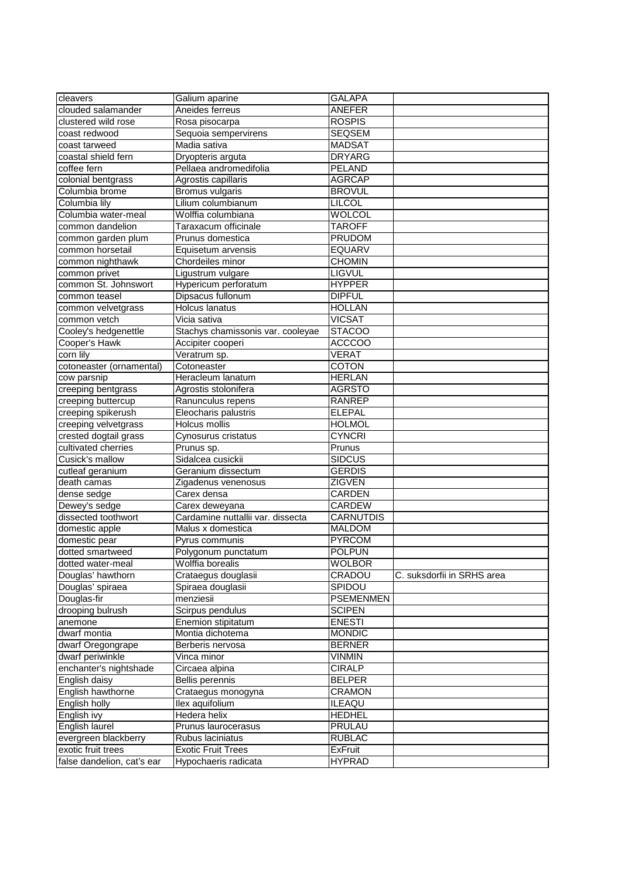| clouded salamander<br>Aneides ferreus<br>ANEFER<br>clustered wild rose<br>Rosa pisocarpa<br><b>ROSPIS</b><br>coast redwood<br><b>SEQSEM</b><br>Sequoia sempervirens<br>coast tarweed<br>Madia sativa<br><b>MADSAT</b><br>coastal shield fern<br><b>DRYARG</b><br>Dryopteris arguta<br>coffee fern<br>Pellaea andromedifolia<br><b>PELAND</b><br>colonial bentgrass<br>Agrostis capillaris<br><b>AGRCAP</b><br>Columbia brome<br>Bromus vulgaris<br><b>BROVUL</b><br>Lilium columbianum<br>LILCOL<br>Columbia lily<br>Columbia water-meal<br>Wolffia columbiana<br>WOLCOL<br>common dandelion<br>Taraxacum officinale<br><b>TAROFF</b><br>common garden plum<br><b>PRUDOM</b><br>Prunus domestica<br><b>EQUARV</b><br>Equisetum arvensis<br>common nighthawk<br>Chordeiles minor<br><b>CHOMIN</b><br>Ligustrum vulgare<br><b>LIGVUL</b><br>common privet<br>common St. Johnswort<br>Hypericum perforatum<br><b>HYPPER</b><br><b>DIPFUL</b><br>Dipsacus fullonum<br>common teasel<br>common velvetgrass<br>Holcus lanatus<br><b>HOLLAN</b><br>common vetch<br><b>VICSAT</b><br>Vicia sativa<br>Cooley's hedgenettle<br><b>STACOO</b><br>Stachys chamissonis var. cooleyae<br>Cooper's Hawk<br><b>ACCCOO</b><br>Accipiter cooperi<br>corn lily<br>Veratrum sp.<br><b>VERAT</b><br>Cotoneaster<br><b>COTON</b><br>cotoneaster (ornamental)<br>Heracleum lanatum<br><b>HERLAN</b><br>cow parsnip<br>creeping bentgrass<br><b>AGRSTO</b><br>Agrostis stolonifera<br>creeping buttercup<br>Ranunculus repens<br>RANREP<br>creeping spikerush<br>Eleocharis palustris<br><b>ELEPAL</b><br>creeping velvetgrass<br>Holcus mollis<br><b>HOLMOL</b><br>crested dogtail grass<br>Cynosurus cristatus<br><b>CYNCRI</b><br>cultivated cherries<br>Prunus sp.<br>Prunus<br>Sidalcea cusickii<br>Cusick's mallow<br><b>SIDCUS</b><br>cutleaf geranium<br><b>GERDIS</b><br>Geranium dissectum<br>death camas<br><b>ZIGVEN</b><br>Zigadenus venenosus<br>dense sedge<br>Carex densa<br><b>CARDEN</b><br>Dewey's sedge<br>CARDEW<br>Carex deweyana<br>dissected toothwort<br>Cardamine nuttallii var. dissecta<br><b>CARNUTDIS</b><br>Malus x domestica<br><b>MALDOM</b><br>domestic apple<br>domestic pear<br><b>PYRCOM</b><br>Pyrus communis<br>dotted smartweed<br>Polygonum punctatum<br><b>POLPUN</b><br>Wolffia borealis<br><b>WOLBOR</b><br>dotted water-meal<br>Douglas' hawthorn<br>CRADOU<br>C. suksdorfii in SRHS area<br>Crataegus douglasii<br>Douglas' spiraea<br>Spiraea douglasii<br>SPIDOU<br>Douglas-fir<br>menziesii<br><b>PSEMENMEN</b><br><b>SCIPEN</b><br>drooping bulrush<br>Scirpus pendulus<br>Enemion stipitatum<br><b>ENESTI</b><br>anemone<br>dwarf montia<br>Montia dichotema<br><b>MONDIC</b><br>dwarf Oregongrape<br><b>BERNER</b><br>Berberis nervosa<br>dwarf periwinkle<br><b>VINMIN</b><br>Vinca minor<br>enchanter's nightshade<br><b>CIRALP</b><br>Circaea alpina<br>English daisy<br>Bellis perennis<br>BELPER<br>English hawthorne<br>Crataegus monogyna<br>CRAMON<br>Ilex aquifolium<br>English holly<br>ILEAQU<br>Hedera helix<br><b>HEDHEL</b><br>English ivy<br>English laurel<br>PRULAU<br>Prunus laurocerasus<br>evergreen blackberry<br><b>RUBLAC</b><br>Rubus laciniatus<br>exotic fruit trees<br><b>Exotic Fruit Trees</b><br><b>ExFruit</b><br>false dandelion, cat's ear<br><b>HYPRAD</b><br>Hypochaeris radicata |                  |                |        |  |
|--------------------------------------------------------------------------------------------------------------------------------------------------------------------------------------------------------------------------------------------------------------------------------------------------------------------------------------------------------------------------------------------------------------------------------------------------------------------------------------------------------------------------------------------------------------------------------------------------------------------------------------------------------------------------------------------------------------------------------------------------------------------------------------------------------------------------------------------------------------------------------------------------------------------------------------------------------------------------------------------------------------------------------------------------------------------------------------------------------------------------------------------------------------------------------------------------------------------------------------------------------------------------------------------------------------------------------------------------------------------------------------------------------------------------------------------------------------------------------------------------------------------------------------------------------------------------------------------------------------------------------------------------------------------------------------------------------------------------------------------------------------------------------------------------------------------------------------------------------------------------------------------------------------------------------------------------------------------------------------------------------------------------------------------------------------------------------------------------------------------------------------------------------------------------------------------------------------------------------------------------------------------------------------------------------------------------------------------------------------------------------------------------------------------------------------------------------------------------------------------------------------------------------------------------------------------------------------------------------------------------------------------------------------------------------------------------------------------------------------------------------------------------------------------------------------------------------------------------------------------------------------------------------------------------------------------------------------------------------------------------------------------------------------------------------------------------------------------------------------------------------------------------------------------------------------------------------------------------------------------------------------------------------------------------------------------------------------------------|------------------|----------------|--------|--|
|                                                                                                                                                                                                                                                                                                                                                                                                                                                                                                                                                                                                                                                                                                                                                                                                                                                                                                                                                                                                                                                                                                                                                                                                                                                                                                                                                                                                                                                                                                                                                                                                                                                                                                                                                                                                                                                                                                                                                                                                                                                                                                                                                                                                                                                                                                                                                                                                                                                                                                                                                                                                                                                                                                                                                                                                                                                                                                                                                                                                                                                                                                                                                                                                                                                                                                                                                  | cleavers         | Galium aparine | GALAPA |  |
|                                                                                                                                                                                                                                                                                                                                                                                                                                                                                                                                                                                                                                                                                                                                                                                                                                                                                                                                                                                                                                                                                                                                                                                                                                                                                                                                                                                                                                                                                                                                                                                                                                                                                                                                                                                                                                                                                                                                                                                                                                                                                                                                                                                                                                                                                                                                                                                                                                                                                                                                                                                                                                                                                                                                                                                                                                                                                                                                                                                                                                                                                                                                                                                                                                                                                                                                                  |                  |                |        |  |
|                                                                                                                                                                                                                                                                                                                                                                                                                                                                                                                                                                                                                                                                                                                                                                                                                                                                                                                                                                                                                                                                                                                                                                                                                                                                                                                                                                                                                                                                                                                                                                                                                                                                                                                                                                                                                                                                                                                                                                                                                                                                                                                                                                                                                                                                                                                                                                                                                                                                                                                                                                                                                                                                                                                                                                                                                                                                                                                                                                                                                                                                                                                                                                                                                                                                                                                                                  |                  |                |        |  |
|                                                                                                                                                                                                                                                                                                                                                                                                                                                                                                                                                                                                                                                                                                                                                                                                                                                                                                                                                                                                                                                                                                                                                                                                                                                                                                                                                                                                                                                                                                                                                                                                                                                                                                                                                                                                                                                                                                                                                                                                                                                                                                                                                                                                                                                                                                                                                                                                                                                                                                                                                                                                                                                                                                                                                                                                                                                                                                                                                                                                                                                                                                                                                                                                                                                                                                                                                  |                  |                |        |  |
|                                                                                                                                                                                                                                                                                                                                                                                                                                                                                                                                                                                                                                                                                                                                                                                                                                                                                                                                                                                                                                                                                                                                                                                                                                                                                                                                                                                                                                                                                                                                                                                                                                                                                                                                                                                                                                                                                                                                                                                                                                                                                                                                                                                                                                                                                                                                                                                                                                                                                                                                                                                                                                                                                                                                                                                                                                                                                                                                                                                                                                                                                                                                                                                                                                                                                                                                                  |                  |                |        |  |
|                                                                                                                                                                                                                                                                                                                                                                                                                                                                                                                                                                                                                                                                                                                                                                                                                                                                                                                                                                                                                                                                                                                                                                                                                                                                                                                                                                                                                                                                                                                                                                                                                                                                                                                                                                                                                                                                                                                                                                                                                                                                                                                                                                                                                                                                                                                                                                                                                                                                                                                                                                                                                                                                                                                                                                                                                                                                                                                                                                                                                                                                                                                                                                                                                                                                                                                                                  |                  |                |        |  |
|                                                                                                                                                                                                                                                                                                                                                                                                                                                                                                                                                                                                                                                                                                                                                                                                                                                                                                                                                                                                                                                                                                                                                                                                                                                                                                                                                                                                                                                                                                                                                                                                                                                                                                                                                                                                                                                                                                                                                                                                                                                                                                                                                                                                                                                                                                                                                                                                                                                                                                                                                                                                                                                                                                                                                                                                                                                                                                                                                                                                                                                                                                                                                                                                                                                                                                                                                  |                  |                |        |  |
|                                                                                                                                                                                                                                                                                                                                                                                                                                                                                                                                                                                                                                                                                                                                                                                                                                                                                                                                                                                                                                                                                                                                                                                                                                                                                                                                                                                                                                                                                                                                                                                                                                                                                                                                                                                                                                                                                                                                                                                                                                                                                                                                                                                                                                                                                                                                                                                                                                                                                                                                                                                                                                                                                                                                                                                                                                                                                                                                                                                                                                                                                                                                                                                                                                                                                                                                                  |                  |                |        |  |
|                                                                                                                                                                                                                                                                                                                                                                                                                                                                                                                                                                                                                                                                                                                                                                                                                                                                                                                                                                                                                                                                                                                                                                                                                                                                                                                                                                                                                                                                                                                                                                                                                                                                                                                                                                                                                                                                                                                                                                                                                                                                                                                                                                                                                                                                                                                                                                                                                                                                                                                                                                                                                                                                                                                                                                                                                                                                                                                                                                                                                                                                                                                                                                                                                                                                                                                                                  |                  |                |        |  |
|                                                                                                                                                                                                                                                                                                                                                                                                                                                                                                                                                                                                                                                                                                                                                                                                                                                                                                                                                                                                                                                                                                                                                                                                                                                                                                                                                                                                                                                                                                                                                                                                                                                                                                                                                                                                                                                                                                                                                                                                                                                                                                                                                                                                                                                                                                                                                                                                                                                                                                                                                                                                                                                                                                                                                                                                                                                                                                                                                                                                                                                                                                                                                                                                                                                                                                                                                  |                  |                |        |  |
|                                                                                                                                                                                                                                                                                                                                                                                                                                                                                                                                                                                                                                                                                                                                                                                                                                                                                                                                                                                                                                                                                                                                                                                                                                                                                                                                                                                                                                                                                                                                                                                                                                                                                                                                                                                                                                                                                                                                                                                                                                                                                                                                                                                                                                                                                                                                                                                                                                                                                                                                                                                                                                                                                                                                                                                                                                                                                                                                                                                                                                                                                                                                                                                                                                                                                                                                                  |                  |                |        |  |
|                                                                                                                                                                                                                                                                                                                                                                                                                                                                                                                                                                                                                                                                                                                                                                                                                                                                                                                                                                                                                                                                                                                                                                                                                                                                                                                                                                                                                                                                                                                                                                                                                                                                                                                                                                                                                                                                                                                                                                                                                                                                                                                                                                                                                                                                                                                                                                                                                                                                                                                                                                                                                                                                                                                                                                                                                                                                                                                                                                                                                                                                                                                                                                                                                                                                                                                                                  |                  |                |        |  |
|                                                                                                                                                                                                                                                                                                                                                                                                                                                                                                                                                                                                                                                                                                                                                                                                                                                                                                                                                                                                                                                                                                                                                                                                                                                                                                                                                                                                                                                                                                                                                                                                                                                                                                                                                                                                                                                                                                                                                                                                                                                                                                                                                                                                                                                                                                                                                                                                                                                                                                                                                                                                                                                                                                                                                                                                                                                                                                                                                                                                                                                                                                                                                                                                                                                                                                                                                  |                  |                |        |  |
|                                                                                                                                                                                                                                                                                                                                                                                                                                                                                                                                                                                                                                                                                                                                                                                                                                                                                                                                                                                                                                                                                                                                                                                                                                                                                                                                                                                                                                                                                                                                                                                                                                                                                                                                                                                                                                                                                                                                                                                                                                                                                                                                                                                                                                                                                                                                                                                                                                                                                                                                                                                                                                                                                                                                                                                                                                                                                                                                                                                                                                                                                                                                                                                                                                                                                                                                                  | common horsetail |                |        |  |
|                                                                                                                                                                                                                                                                                                                                                                                                                                                                                                                                                                                                                                                                                                                                                                                                                                                                                                                                                                                                                                                                                                                                                                                                                                                                                                                                                                                                                                                                                                                                                                                                                                                                                                                                                                                                                                                                                                                                                                                                                                                                                                                                                                                                                                                                                                                                                                                                                                                                                                                                                                                                                                                                                                                                                                                                                                                                                                                                                                                                                                                                                                                                                                                                                                                                                                                                                  |                  |                |        |  |
|                                                                                                                                                                                                                                                                                                                                                                                                                                                                                                                                                                                                                                                                                                                                                                                                                                                                                                                                                                                                                                                                                                                                                                                                                                                                                                                                                                                                                                                                                                                                                                                                                                                                                                                                                                                                                                                                                                                                                                                                                                                                                                                                                                                                                                                                                                                                                                                                                                                                                                                                                                                                                                                                                                                                                                                                                                                                                                                                                                                                                                                                                                                                                                                                                                                                                                                                                  |                  |                |        |  |
|                                                                                                                                                                                                                                                                                                                                                                                                                                                                                                                                                                                                                                                                                                                                                                                                                                                                                                                                                                                                                                                                                                                                                                                                                                                                                                                                                                                                                                                                                                                                                                                                                                                                                                                                                                                                                                                                                                                                                                                                                                                                                                                                                                                                                                                                                                                                                                                                                                                                                                                                                                                                                                                                                                                                                                                                                                                                                                                                                                                                                                                                                                                                                                                                                                                                                                                                                  |                  |                |        |  |
|                                                                                                                                                                                                                                                                                                                                                                                                                                                                                                                                                                                                                                                                                                                                                                                                                                                                                                                                                                                                                                                                                                                                                                                                                                                                                                                                                                                                                                                                                                                                                                                                                                                                                                                                                                                                                                                                                                                                                                                                                                                                                                                                                                                                                                                                                                                                                                                                                                                                                                                                                                                                                                                                                                                                                                                                                                                                                                                                                                                                                                                                                                                                                                                                                                                                                                                                                  |                  |                |        |  |
|                                                                                                                                                                                                                                                                                                                                                                                                                                                                                                                                                                                                                                                                                                                                                                                                                                                                                                                                                                                                                                                                                                                                                                                                                                                                                                                                                                                                                                                                                                                                                                                                                                                                                                                                                                                                                                                                                                                                                                                                                                                                                                                                                                                                                                                                                                                                                                                                                                                                                                                                                                                                                                                                                                                                                                                                                                                                                                                                                                                                                                                                                                                                                                                                                                                                                                                                                  |                  |                |        |  |
|                                                                                                                                                                                                                                                                                                                                                                                                                                                                                                                                                                                                                                                                                                                                                                                                                                                                                                                                                                                                                                                                                                                                                                                                                                                                                                                                                                                                                                                                                                                                                                                                                                                                                                                                                                                                                                                                                                                                                                                                                                                                                                                                                                                                                                                                                                                                                                                                                                                                                                                                                                                                                                                                                                                                                                                                                                                                                                                                                                                                                                                                                                                                                                                                                                                                                                                                                  |                  |                |        |  |
|                                                                                                                                                                                                                                                                                                                                                                                                                                                                                                                                                                                                                                                                                                                                                                                                                                                                                                                                                                                                                                                                                                                                                                                                                                                                                                                                                                                                                                                                                                                                                                                                                                                                                                                                                                                                                                                                                                                                                                                                                                                                                                                                                                                                                                                                                                                                                                                                                                                                                                                                                                                                                                                                                                                                                                                                                                                                                                                                                                                                                                                                                                                                                                                                                                                                                                                                                  |                  |                |        |  |
|                                                                                                                                                                                                                                                                                                                                                                                                                                                                                                                                                                                                                                                                                                                                                                                                                                                                                                                                                                                                                                                                                                                                                                                                                                                                                                                                                                                                                                                                                                                                                                                                                                                                                                                                                                                                                                                                                                                                                                                                                                                                                                                                                                                                                                                                                                                                                                                                                                                                                                                                                                                                                                                                                                                                                                                                                                                                                                                                                                                                                                                                                                                                                                                                                                                                                                                                                  |                  |                |        |  |
|                                                                                                                                                                                                                                                                                                                                                                                                                                                                                                                                                                                                                                                                                                                                                                                                                                                                                                                                                                                                                                                                                                                                                                                                                                                                                                                                                                                                                                                                                                                                                                                                                                                                                                                                                                                                                                                                                                                                                                                                                                                                                                                                                                                                                                                                                                                                                                                                                                                                                                                                                                                                                                                                                                                                                                                                                                                                                                                                                                                                                                                                                                                                                                                                                                                                                                                                                  |                  |                |        |  |
|                                                                                                                                                                                                                                                                                                                                                                                                                                                                                                                                                                                                                                                                                                                                                                                                                                                                                                                                                                                                                                                                                                                                                                                                                                                                                                                                                                                                                                                                                                                                                                                                                                                                                                                                                                                                                                                                                                                                                                                                                                                                                                                                                                                                                                                                                                                                                                                                                                                                                                                                                                                                                                                                                                                                                                                                                                                                                                                                                                                                                                                                                                                                                                                                                                                                                                                                                  |                  |                |        |  |
|                                                                                                                                                                                                                                                                                                                                                                                                                                                                                                                                                                                                                                                                                                                                                                                                                                                                                                                                                                                                                                                                                                                                                                                                                                                                                                                                                                                                                                                                                                                                                                                                                                                                                                                                                                                                                                                                                                                                                                                                                                                                                                                                                                                                                                                                                                                                                                                                                                                                                                                                                                                                                                                                                                                                                                                                                                                                                                                                                                                                                                                                                                                                                                                                                                                                                                                                                  |                  |                |        |  |
|                                                                                                                                                                                                                                                                                                                                                                                                                                                                                                                                                                                                                                                                                                                                                                                                                                                                                                                                                                                                                                                                                                                                                                                                                                                                                                                                                                                                                                                                                                                                                                                                                                                                                                                                                                                                                                                                                                                                                                                                                                                                                                                                                                                                                                                                                                                                                                                                                                                                                                                                                                                                                                                                                                                                                                                                                                                                                                                                                                                                                                                                                                                                                                                                                                                                                                                                                  |                  |                |        |  |
|                                                                                                                                                                                                                                                                                                                                                                                                                                                                                                                                                                                                                                                                                                                                                                                                                                                                                                                                                                                                                                                                                                                                                                                                                                                                                                                                                                                                                                                                                                                                                                                                                                                                                                                                                                                                                                                                                                                                                                                                                                                                                                                                                                                                                                                                                                                                                                                                                                                                                                                                                                                                                                                                                                                                                                                                                                                                                                                                                                                                                                                                                                                                                                                                                                                                                                                                                  |                  |                |        |  |
|                                                                                                                                                                                                                                                                                                                                                                                                                                                                                                                                                                                                                                                                                                                                                                                                                                                                                                                                                                                                                                                                                                                                                                                                                                                                                                                                                                                                                                                                                                                                                                                                                                                                                                                                                                                                                                                                                                                                                                                                                                                                                                                                                                                                                                                                                                                                                                                                                                                                                                                                                                                                                                                                                                                                                                                                                                                                                                                                                                                                                                                                                                                                                                                                                                                                                                                                                  |                  |                |        |  |
|                                                                                                                                                                                                                                                                                                                                                                                                                                                                                                                                                                                                                                                                                                                                                                                                                                                                                                                                                                                                                                                                                                                                                                                                                                                                                                                                                                                                                                                                                                                                                                                                                                                                                                                                                                                                                                                                                                                                                                                                                                                                                                                                                                                                                                                                                                                                                                                                                                                                                                                                                                                                                                                                                                                                                                                                                                                                                                                                                                                                                                                                                                                                                                                                                                                                                                                                                  |                  |                |        |  |
|                                                                                                                                                                                                                                                                                                                                                                                                                                                                                                                                                                                                                                                                                                                                                                                                                                                                                                                                                                                                                                                                                                                                                                                                                                                                                                                                                                                                                                                                                                                                                                                                                                                                                                                                                                                                                                                                                                                                                                                                                                                                                                                                                                                                                                                                                                                                                                                                                                                                                                                                                                                                                                                                                                                                                                                                                                                                                                                                                                                                                                                                                                                                                                                                                                                                                                                                                  |                  |                |        |  |
|                                                                                                                                                                                                                                                                                                                                                                                                                                                                                                                                                                                                                                                                                                                                                                                                                                                                                                                                                                                                                                                                                                                                                                                                                                                                                                                                                                                                                                                                                                                                                                                                                                                                                                                                                                                                                                                                                                                                                                                                                                                                                                                                                                                                                                                                                                                                                                                                                                                                                                                                                                                                                                                                                                                                                                                                                                                                                                                                                                                                                                                                                                                                                                                                                                                                                                                                                  |                  |                |        |  |
|                                                                                                                                                                                                                                                                                                                                                                                                                                                                                                                                                                                                                                                                                                                                                                                                                                                                                                                                                                                                                                                                                                                                                                                                                                                                                                                                                                                                                                                                                                                                                                                                                                                                                                                                                                                                                                                                                                                                                                                                                                                                                                                                                                                                                                                                                                                                                                                                                                                                                                                                                                                                                                                                                                                                                                                                                                                                                                                                                                                                                                                                                                                                                                                                                                                                                                                                                  |                  |                |        |  |
|                                                                                                                                                                                                                                                                                                                                                                                                                                                                                                                                                                                                                                                                                                                                                                                                                                                                                                                                                                                                                                                                                                                                                                                                                                                                                                                                                                                                                                                                                                                                                                                                                                                                                                                                                                                                                                                                                                                                                                                                                                                                                                                                                                                                                                                                                                                                                                                                                                                                                                                                                                                                                                                                                                                                                                                                                                                                                                                                                                                                                                                                                                                                                                                                                                                                                                                                                  |                  |                |        |  |
|                                                                                                                                                                                                                                                                                                                                                                                                                                                                                                                                                                                                                                                                                                                                                                                                                                                                                                                                                                                                                                                                                                                                                                                                                                                                                                                                                                                                                                                                                                                                                                                                                                                                                                                                                                                                                                                                                                                                                                                                                                                                                                                                                                                                                                                                                                                                                                                                                                                                                                                                                                                                                                                                                                                                                                                                                                                                                                                                                                                                                                                                                                                                                                                                                                                                                                                                                  |                  |                |        |  |
|                                                                                                                                                                                                                                                                                                                                                                                                                                                                                                                                                                                                                                                                                                                                                                                                                                                                                                                                                                                                                                                                                                                                                                                                                                                                                                                                                                                                                                                                                                                                                                                                                                                                                                                                                                                                                                                                                                                                                                                                                                                                                                                                                                                                                                                                                                                                                                                                                                                                                                                                                                                                                                                                                                                                                                                                                                                                                                                                                                                                                                                                                                                                                                                                                                                                                                                                                  |                  |                |        |  |
|                                                                                                                                                                                                                                                                                                                                                                                                                                                                                                                                                                                                                                                                                                                                                                                                                                                                                                                                                                                                                                                                                                                                                                                                                                                                                                                                                                                                                                                                                                                                                                                                                                                                                                                                                                                                                                                                                                                                                                                                                                                                                                                                                                                                                                                                                                                                                                                                                                                                                                                                                                                                                                                                                                                                                                                                                                                                                                                                                                                                                                                                                                                                                                                                                                                                                                                                                  |                  |                |        |  |
|                                                                                                                                                                                                                                                                                                                                                                                                                                                                                                                                                                                                                                                                                                                                                                                                                                                                                                                                                                                                                                                                                                                                                                                                                                                                                                                                                                                                                                                                                                                                                                                                                                                                                                                                                                                                                                                                                                                                                                                                                                                                                                                                                                                                                                                                                                                                                                                                                                                                                                                                                                                                                                                                                                                                                                                                                                                                                                                                                                                                                                                                                                                                                                                                                                                                                                                                                  |                  |                |        |  |
|                                                                                                                                                                                                                                                                                                                                                                                                                                                                                                                                                                                                                                                                                                                                                                                                                                                                                                                                                                                                                                                                                                                                                                                                                                                                                                                                                                                                                                                                                                                                                                                                                                                                                                                                                                                                                                                                                                                                                                                                                                                                                                                                                                                                                                                                                                                                                                                                                                                                                                                                                                                                                                                                                                                                                                                                                                                                                                                                                                                                                                                                                                                                                                                                                                                                                                                                                  |                  |                |        |  |
|                                                                                                                                                                                                                                                                                                                                                                                                                                                                                                                                                                                                                                                                                                                                                                                                                                                                                                                                                                                                                                                                                                                                                                                                                                                                                                                                                                                                                                                                                                                                                                                                                                                                                                                                                                                                                                                                                                                                                                                                                                                                                                                                                                                                                                                                                                                                                                                                                                                                                                                                                                                                                                                                                                                                                                                                                                                                                                                                                                                                                                                                                                                                                                                                                                                                                                                                                  |                  |                |        |  |
|                                                                                                                                                                                                                                                                                                                                                                                                                                                                                                                                                                                                                                                                                                                                                                                                                                                                                                                                                                                                                                                                                                                                                                                                                                                                                                                                                                                                                                                                                                                                                                                                                                                                                                                                                                                                                                                                                                                                                                                                                                                                                                                                                                                                                                                                                                                                                                                                                                                                                                                                                                                                                                                                                                                                                                                                                                                                                                                                                                                                                                                                                                                                                                                                                                                                                                                                                  |                  |                |        |  |
|                                                                                                                                                                                                                                                                                                                                                                                                                                                                                                                                                                                                                                                                                                                                                                                                                                                                                                                                                                                                                                                                                                                                                                                                                                                                                                                                                                                                                                                                                                                                                                                                                                                                                                                                                                                                                                                                                                                                                                                                                                                                                                                                                                                                                                                                                                                                                                                                                                                                                                                                                                                                                                                                                                                                                                                                                                                                                                                                                                                                                                                                                                                                                                                                                                                                                                                                                  |                  |                |        |  |
|                                                                                                                                                                                                                                                                                                                                                                                                                                                                                                                                                                                                                                                                                                                                                                                                                                                                                                                                                                                                                                                                                                                                                                                                                                                                                                                                                                                                                                                                                                                                                                                                                                                                                                                                                                                                                                                                                                                                                                                                                                                                                                                                                                                                                                                                                                                                                                                                                                                                                                                                                                                                                                                                                                                                                                                                                                                                                                                                                                                                                                                                                                                                                                                                                                                                                                                                                  |                  |                |        |  |
|                                                                                                                                                                                                                                                                                                                                                                                                                                                                                                                                                                                                                                                                                                                                                                                                                                                                                                                                                                                                                                                                                                                                                                                                                                                                                                                                                                                                                                                                                                                                                                                                                                                                                                                                                                                                                                                                                                                                                                                                                                                                                                                                                                                                                                                                                                                                                                                                                                                                                                                                                                                                                                                                                                                                                                                                                                                                                                                                                                                                                                                                                                                                                                                                                                                                                                                                                  |                  |                |        |  |
|                                                                                                                                                                                                                                                                                                                                                                                                                                                                                                                                                                                                                                                                                                                                                                                                                                                                                                                                                                                                                                                                                                                                                                                                                                                                                                                                                                                                                                                                                                                                                                                                                                                                                                                                                                                                                                                                                                                                                                                                                                                                                                                                                                                                                                                                                                                                                                                                                                                                                                                                                                                                                                                                                                                                                                                                                                                                                                                                                                                                                                                                                                                                                                                                                                                                                                                                                  |                  |                |        |  |
|                                                                                                                                                                                                                                                                                                                                                                                                                                                                                                                                                                                                                                                                                                                                                                                                                                                                                                                                                                                                                                                                                                                                                                                                                                                                                                                                                                                                                                                                                                                                                                                                                                                                                                                                                                                                                                                                                                                                                                                                                                                                                                                                                                                                                                                                                                                                                                                                                                                                                                                                                                                                                                                                                                                                                                                                                                                                                                                                                                                                                                                                                                                                                                                                                                                                                                                                                  |                  |                |        |  |
|                                                                                                                                                                                                                                                                                                                                                                                                                                                                                                                                                                                                                                                                                                                                                                                                                                                                                                                                                                                                                                                                                                                                                                                                                                                                                                                                                                                                                                                                                                                                                                                                                                                                                                                                                                                                                                                                                                                                                                                                                                                                                                                                                                                                                                                                                                                                                                                                                                                                                                                                                                                                                                                                                                                                                                                                                                                                                                                                                                                                                                                                                                                                                                                                                                                                                                                                                  |                  |                |        |  |
|                                                                                                                                                                                                                                                                                                                                                                                                                                                                                                                                                                                                                                                                                                                                                                                                                                                                                                                                                                                                                                                                                                                                                                                                                                                                                                                                                                                                                                                                                                                                                                                                                                                                                                                                                                                                                                                                                                                                                                                                                                                                                                                                                                                                                                                                                                                                                                                                                                                                                                                                                                                                                                                                                                                                                                                                                                                                                                                                                                                                                                                                                                                                                                                                                                                                                                                                                  |                  |                |        |  |
|                                                                                                                                                                                                                                                                                                                                                                                                                                                                                                                                                                                                                                                                                                                                                                                                                                                                                                                                                                                                                                                                                                                                                                                                                                                                                                                                                                                                                                                                                                                                                                                                                                                                                                                                                                                                                                                                                                                                                                                                                                                                                                                                                                                                                                                                                                                                                                                                                                                                                                                                                                                                                                                                                                                                                                                                                                                                                                                                                                                                                                                                                                                                                                                                                                                                                                                                                  |                  |                |        |  |
|                                                                                                                                                                                                                                                                                                                                                                                                                                                                                                                                                                                                                                                                                                                                                                                                                                                                                                                                                                                                                                                                                                                                                                                                                                                                                                                                                                                                                                                                                                                                                                                                                                                                                                                                                                                                                                                                                                                                                                                                                                                                                                                                                                                                                                                                                                                                                                                                                                                                                                                                                                                                                                                                                                                                                                                                                                                                                                                                                                                                                                                                                                                                                                                                                                                                                                                                                  |                  |                |        |  |
|                                                                                                                                                                                                                                                                                                                                                                                                                                                                                                                                                                                                                                                                                                                                                                                                                                                                                                                                                                                                                                                                                                                                                                                                                                                                                                                                                                                                                                                                                                                                                                                                                                                                                                                                                                                                                                                                                                                                                                                                                                                                                                                                                                                                                                                                                                                                                                                                                                                                                                                                                                                                                                                                                                                                                                                                                                                                                                                                                                                                                                                                                                                                                                                                                                                                                                                                                  |                  |                |        |  |
|                                                                                                                                                                                                                                                                                                                                                                                                                                                                                                                                                                                                                                                                                                                                                                                                                                                                                                                                                                                                                                                                                                                                                                                                                                                                                                                                                                                                                                                                                                                                                                                                                                                                                                                                                                                                                                                                                                                                                                                                                                                                                                                                                                                                                                                                                                                                                                                                                                                                                                                                                                                                                                                                                                                                                                                                                                                                                                                                                                                                                                                                                                                                                                                                                                                                                                                                                  |                  |                |        |  |
|                                                                                                                                                                                                                                                                                                                                                                                                                                                                                                                                                                                                                                                                                                                                                                                                                                                                                                                                                                                                                                                                                                                                                                                                                                                                                                                                                                                                                                                                                                                                                                                                                                                                                                                                                                                                                                                                                                                                                                                                                                                                                                                                                                                                                                                                                                                                                                                                                                                                                                                                                                                                                                                                                                                                                                                                                                                                                                                                                                                                                                                                                                                                                                                                                                                                                                                                                  |                  |                |        |  |
|                                                                                                                                                                                                                                                                                                                                                                                                                                                                                                                                                                                                                                                                                                                                                                                                                                                                                                                                                                                                                                                                                                                                                                                                                                                                                                                                                                                                                                                                                                                                                                                                                                                                                                                                                                                                                                                                                                                                                                                                                                                                                                                                                                                                                                                                                                                                                                                                                                                                                                                                                                                                                                                                                                                                                                                                                                                                                                                                                                                                                                                                                                                                                                                                                                                                                                                                                  |                  |                |        |  |
|                                                                                                                                                                                                                                                                                                                                                                                                                                                                                                                                                                                                                                                                                                                                                                                                                                                                                                                                                                                                                                                                                                                                                                                                                                                                                                                                                                                                                                                                                                                                                                                                                                                                                                                                                                                                                                                                                                                                                                                                                                                                                                                                                                                                                                                                                                                                                                                                                                                                                                                                                                                                                                                                                                                                                                                                                                                                                                                                                                                                                                                                                                                                                                                                                                                                                                                                                  |                  |                |        |  |
|                                                                                                                                                                                                                                                                                                                                                                                                                                                                                                                                                                                                                                                                                                                                                                                                                                                                                                                                                                                                                                                                                                                                                                                                                                                                                                                                                                                                                                                                                                                                                                                                                                                                                                                                                                                                                                                                                                                                                                                                                                                                                                                                                                                                                                                                                                                                                                                                                                                                                                                                                                                                                                                                                                                                                                                                                                                                                                                                                                                                                                                                                                                                                                                                                                                                                                                                                  |                  |                |        |  |
|                                                                                                                                                                                                                                                                                                                                                                                                                                                                                                                                                                                                                                                                                                                                                                                                                                                                                                                                                                                                                                                                                                                                                                                                                                                                                                                                                                                                                                                                                                                                                                                                                                                                                                                                                                                                                                                                                                                                                                                                                                                                                                                                                                                                                                                                                                                                                                                                                                                                                                                                                                                                                                                                                                                                                                                                                                                                                                                                                                                                                                                                                                                                                                                                                                                                                                                                                  |                  |                |        |  |
|                                                                                                                                                                                                                                                                                                                                                                                                                                                                                                                                                                                                                                                                                                                                                                                                                                                                                                                                                                                                                                                                                                                                                                                                                                                                                                                                                                                                                                                                                                                                                                                                                                                                                                                                                                                                                                                                                                                                                                                                                                                                                                                                                                                                                                                                                                                                                                                                                                                                                                                                                                                                                                                                                                                                                                                                                                                                                                                                                                                                                                                                                                                                                                                                                                                                                                                                                  |                  |                |        |  |
|                                                                                                                                                                                                                                                                                                                                                                                                                                                                                                                                                                                                                                                                                                                                                                                                                                                                                                                                                                                                                                                                                                                                                                                                                                                                                                                                                                                                                                                                                                                                                                                                                                                                                                                                                                                                                                                                                                                                                                                                                                                                                                                                                                                                                                                                                                                                                                                                                                                                                                                                                                                                                                                                                                                                                                                                                                                                                                                                                                                                                                                                                                                                                                                                                                                                                                                                                  |                  |                |        |  |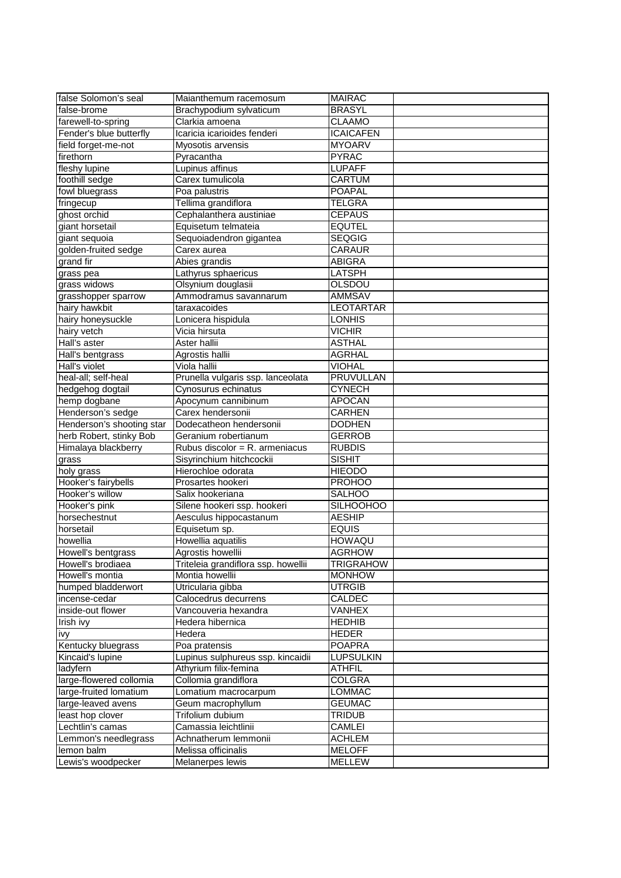| false Solomon's seal              | Maianthemum racemosum                      | <b>MAIRAC</b>    |
|-----------------------------------|--------------------------------------------|------------------|
| false-brome                       | Brachypodium sylvaticum                    | <b>BRASYL</b>    |
| farewell-to-spring                | Clarkia amoena                             | <b>CLAAMO</b>    |
| Fender's blue butterfly           | Icaricia icarioides fenderi                | <b>ICAICAFEN</b> |
| field forget-me-not               | Myosotis arvensis                          | <b>MYOARV</b>    |
| firethorn                         | Pyracantha                                 | <b>PYRAC</b>     |
| fleshy lupine                     | Lupinus affinus                            | <b>LUPAFF</b>    |
| foothill sedge                    | Carex tumulicola                           | CARTUM           |
| fowl bluegrass                    | Poa palustris                              | <b>POAPAL</b>    |
| fringecup                         | Tellima grandiflora                        | TELGRA           |
| ghost orchid                      | Cephalanthera austiniae                    | <b>CEPAUS</b>    |
| giant horsetail                   | Equisetum telmateia                        | <b>EQUTEL</b>    |
| giant sequoia                     | Sequoiadendron gigantea                    | <b>SEQGIG</b>    |
| golden-fruited sedge              | Carex aurea                                | CARAUR           |
| grand fir                         | Abies grandis                              | ABIGRA           |
| grass pea                         | Lathyrus sphaericus                        | LATSPH           |
| grass widows                      | Olsynium douglasii                         | OLSDOU           |
| grasshopper sparrow               | Ammodramus savannarum                      | <b>AMMSAV</b>    |
| hairy hawkbit                     | taraxacoides                               | <b>LEOTARTAR</b> |
| hairy honeysuckle                 | Lonicera hispidula                         | <b>LONHIS</b>    |
| hairy vetch                       | Vicia hirsuta                              | <b>VICHIR</b>    |
| Hall's aster                      | Aster hallii                               | <b>ASTHAL</b>    |
|                                   |                                            | AGRHAL           |
| Hall's bentgrass<br>Hall's violet | Agrostis hallii<br>Viola hallii            | VIOHAL           |
| heal-all; self-heal               |                                            | <b>PRUVULLAN</b> |
|                                   | Prunella vulgaris ssp. lanceolata          |                  |
| hedgehog dogtail<br>hemp dogbane  | Cynosurus echinatus<br>Apocynum cannibinum | <b>CYNECH</b>    |
| Henderson's sedge                 | Carex hendersonii                          | <b>APOCAN</b>    |
| Henderson's shooting star         | Dodecatheon hendersonii                    | <b>CARHEN</b>    |
|                                   |                                            | <b>DODHEN</b>    |
| herb Robert, stinky Bob           | Geranium robertianum                       | <b>GERROB</b>    |
| Himalaya blackberry               | Rubus discolor = R. armeniacus             | <b>RUBDIS</b>    |
| grass                             | Sisyrinchium hitchcockii                   | <b>SISHIT</b>    |
| holy grass                        | Hierochloe odorata                         | <b>HIEODO</b>    |
| Hooker's fairybells               | Prosartes hookeri                          | <b>PROHOO</b>    |
| Hooker's willow                   | Salix hookeriana                           | <b>SALHOO</b>    |
| Hooker's pink                     | Silene hookeri ssp. hookeri                | <b>SILHOOHOO</b> |
| horsechestnut                     | Aesculus hippocastanum                     | <b>AESHIP</b>    |
| horsetail                         | Equisetum sp.                              | <b>EQUIS</b>     |
| howellia                          | Howellia aquatilis                         | <b>HOWAQU</b>    |
| Howell's bentgrass                | Agrostis howellii                          | <b>AGRHOW</b>    |
| Howell's brodiaea                 | Triteleia grandiflora ssp. howellii        | <b>TRIGRAHOW</b> |
| Howell's montia                   | Montia howellii                            | <b>MONHOW</b>    |
| humped bladderwort                | Utricularia gibba                          | UTRGIB           |
| incense-cedar                     | Calocedrus decurrens                       | <b>CALDEC</b>    |
| inside-out flower                 | Vancouveria hexandra                       | VANHEX           |
| Irish ivy                         | Hedera hibernica                           | <b>HEDHIB</b>    |
| ivy                               | Hedera                                     | <b>HEDER</b>     |
| Kentucky bluegrass                | Poa pratensis                              | <b>POAPRA</b>    |
| Kincaid's lupine                  | Lupinus sulphureus ssp. kincaidii          | <b>LUPSULKIN</b> |
| ladyfern                          | Athyrium filix-femina                      | ATHFIL           |
| large-flowered collomia           | Collomia grandiflora                       | <b>COLGRA</b>    |
| large-fruited lomatium            | Lomatium macrocarpum                       | <b>LOMMAC</b>    |
| large-leaved avens                | Geum macrophyllum                          | <b>GEUMAC</b>    |
| least hop clover                  | Trifolium dubium                           | TRIDUB           |
| Lechtlin's camas                  | Camassia leichtlinii                       | <b>CAMLEI</b>    |
| Lemmon's needlegrass              | Achnatherum lemmonii                       | <b>ACHLEM</b>    |
| lemon balm                        | Melissa officinalis                        | <b>MELOFF</b>    |
| Lewis's woodpecker                | Melanerpes lewis                           | <b>MELLEW</b>    |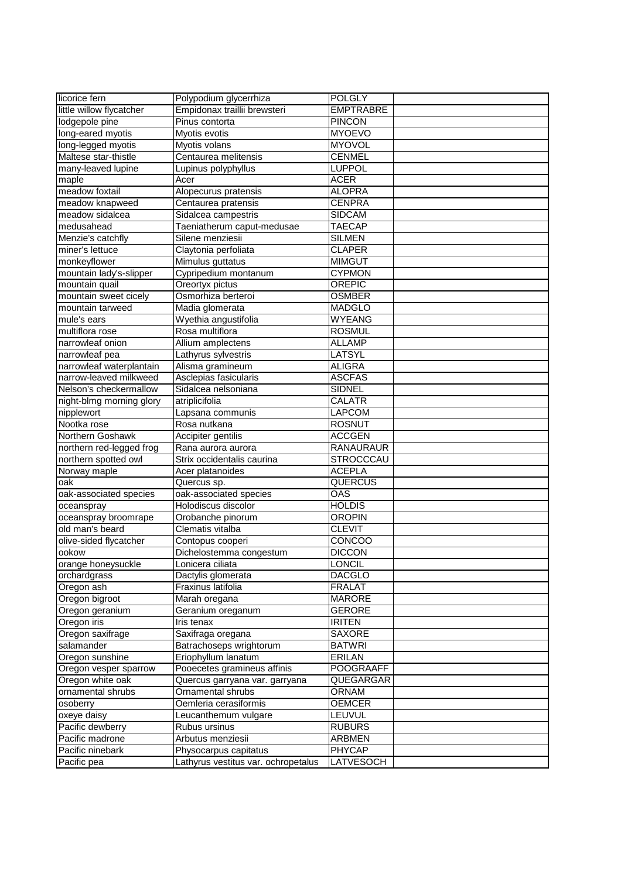| licorice fern                           | Polypodium glycerrhiza              | <b>POLGLY</b>    |  |
|-----------------------------------------|-------------------------------------|------------------|--|
| little willow flycatcher                | Empidonax traillii brewsteri        | EMPTRABRE        |  |
| lodgepole pine                          | Pinus contorta                      | <b>PINCON</b>    |  |
| long-eared myotis                       | Myotis evotis                       | <b>MYOEVO</b>    |  |
| long-legged myotis                      | Myotis volans                       | <b>MYOVOL</b>    |  |
| Maltese star-thistle                    | Centaurea melitensis                | <b>CENMEL</b>    |  |
| many-leaved lupine                      | Lupinus polyphyllus                 | LUPPOL           |  |
| maple                                   | Acer                                | ACER             |  |
| meadow foxtail                          | Alopecurus pratensis                | <b>ALOPRA</b>    |  |
| meadow knapweed                         | Centaurea pratensis                 | <b>CENPRA</b>    |  |
| meadow sidalcea                         | Sidalcea campestris                 | <b>SIDCAM</b>    |  |
| medusahead                              | Taeniatherum caput-medusae          | <b>TAECAP</b>    |  |
| Menzie's catchfly                       | Silene menziesii                    | <b>SILMEN</b>    |  |
| miner's lettuce                         | Claytonia perfoliata                | <b>CLAPER</b>    |  |
| monkeyflower                            | Mimulus guttatus                    | <b>MIMGUT</b>    |  |
|                                         |                                     | <b>CYPMON</b>    |  |
| mountain lady's-slipper                 | Cypripedium montanum                |                  |  |
| mountain quail<br>mountain sweet cicely | Oreortyx pictus                     | OREPIC           |  |
|                                         | Osmorhiza berteroi                  | <b>OSMBER</b>    |  |
| mountain tarweed                        | Madia glomerata                     | MADGLO           |  |
| mule's ears                             | Wyethia angustifolia                | <b>WYEANG</b>    |  |
| multiflora rose                         | Rosa multiflora                     | <b>ROSMUL</b>    |  |
| narrowleaf onion                        | Allium amplectens                   | <b>ALLAMP</b>    |  |
| narrowleaf pea                          | Lathyrus sylvestris                 | LATSYL           |  |
| narrowleaf waterplantain                | Alisma gramineum                    | ALIGRA           |  |
| narrow-leaved milkweed                  | Asclepias fasicularis               | <b>ASCFAS</b>    |  |
| Nelson's checkermallow                  | Sidalcea nelsoniana                 | <b>SIDNEL</b>    |  |
| night-blmg morning glory                | atriplicifolia                      | CALATR           |  |
| nipplewort                              | Lapsana communis                    | LAPCOM           |  |
| Nootka rose                             | Rosa nutkana                        | ROSNUT           |  |
| Northern Goshawk                        | Accipiter gentilis                  | <b>ACCGEN</b>    |  |
| northern red-legged frog                | Rana aurora aurora                  | RANAURAUR        |  |
| northern spotted owl                    | Strix occidentalis caurina          | <b>STROCCCAU</b> |  |
| Norway maple                            | Acer platanoides                    | <b>ACEPLA</b>    |  |
| oak                                     | Quercus sp.                         | QUERCUS          |  |
| oak-associated species                  | oak-associated species              | OAS              |  |
| oceanspray                              | Holodiscus discolor                 | <b>HOLDIS</b>    |  |
| oceanspray broomrape                    | Orobanche pinorum                   | <b>OROPIN</b>    |  |
| old man's beard                         | Clematis vitalba                    | <b>CLEVIT</b>    |  |
| olive-sided flycatcher                  | Contopus cooperi                    | CONCOO           |  |
| ookow                                   | Dichelostemma congestum             | <b>DICCON</b>    |  |
| orange honeysuckle                      | Lonicera ciliata                    | LONCIL           |  |
| orchardgrass                            | Dactylis glomerata                  | <b>DACGLO</b>    |  |
| Oregon ash                              | Fraxinus latifolia                  | <b>FRALAT</b>    |  |
| Oregon bigroot                          | Marah oregana                       | <b>MARORE</b>    |  |
| Oregon geranium                         | Geranium oreganum                   | GERORE           |  |
| Oregon iris                             | Iris tenax                          | <b>IRITEN</b>    |  |
| Oregon saxifrage                        | Saxifraga oregana                   | SAXORE           |  |
| salamander                              | Batrachoseps wrightorum             | BATWRI           |  |
| Oregon sunshine                         | Eriophyllum lanatum                 | ERILAN           |  |
| Oregon vesper sparrow                   | Pooecetes gramineus affinis         | POOGRAAFF        |  |
| Oregon white oak                        | Quercus garryana var. garryana      | QUEGARGAR        |  |
| ornamental shrubs                       | Ornamental shrubs                   | <b>ORNAM</b>     |  |
| osoberry                                | Oemleria cerasiformis               | <b>OEMCER</b>    |  |
| oxeye daisy                             | Leucanthemum vulgare                | LEUVUL           |  |
| Pacific dewberry                        | Rubus ursinus                       | <b>RUBURS</b>    |  |
| Pacific madrone                         | Arbutus menziesii                   | ARBMEN           |  |
| Pacific ninebark                        | Physocarpus capitatus               | <b>PHYCAP</b>    |  |
| Pacific pea                             | Lathyrus vestitus var. ochropetalus | LATVESOCH        |  |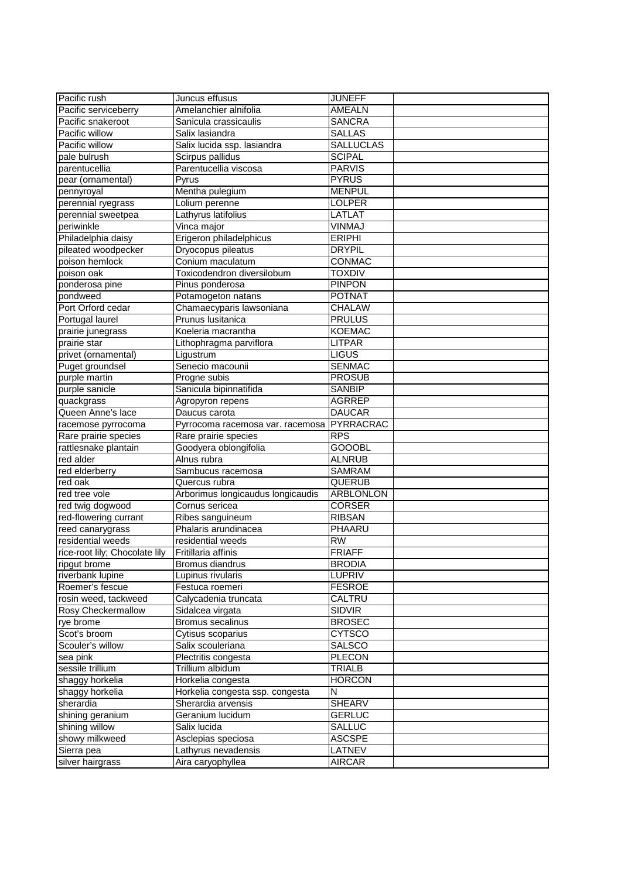| Pacific rush                   | Juncus effusus                                     | <b>JUNEFF</b>                     |  |
|--------------------------------|----------------------------------------------------|-----------------------------------|--|
| Pacific serviceberry           | Amelanchier alnifolia                              | AMEALN                            |  |
| Pacific snakeroot              | Sanicula crassicaulis                              |                                   |  |
|                                |                                                    | SANCRA                            |  |
| Pacific willow                 | Salix lasiandra                                    | <b>SALLAS</b>                     |  |
| Pacific willow                 | Salix lucida ssp. lasiandra                        | <b>SALLUCLAS</b>                  |  |
| pale bulrush                   | Scirpus pallidus                                   | <b>SCIPAL</b>                     |  |
| parentucellia                  | Parentucellia viscosa                              | <b>PARVIS</b>                     |  |
| pear (ornamental)              | Pyrus                                              | <b>PYRUS</b>                      |  |
| pennyroyal                     | Mentha pulegium                                    | <b>MENPUL</b>                     |  |
| perennial ryegrass             | Lolium perenne                                     | LOLPER                            |  |
| perennial sweetpea             | Lathyrus latifolius                                | LATLAT                            |  |
| periwinkle                     | Vinca major                                        | VINMAJ                            |  |
| Philadelphia daisy             | Erigeron philadelphicus                            | <b>ERIPHI</b>                     |  |
| pileated woodpecker            | Dryocopus pileatus                                 | <b>DRYPIL</b>                     |  |
| poison hemlock                 | Conium maculatum                                   | CONMAC                            |  |
| poison oak                     | Toxicodendron diversilobum                         | TOXDIV                            |  |
| ponderosa pine                 | Pinus ponderosa                                    | <b>PINPON</b>                     |  |
| pondweed                       | Potamogeton natans                                 | <b>POTNAT</b>                     |  |
| Port Orford cedar              | Chamaecyparis lawsoniana                           | CHALAW                            |  |
| Portugal laurel                | Prunus Iusitanica                                  | <b>PRULUS</b>                     |  |
| prairie junegrass              | Koeleria macrantha                                 | <b>KOEMAC</b>                     |  |
| prairie star                   | Lithophragma parviflora                            | LITPAR                            |  |
| privet (ornamental)            | Ligustrum                                          | <b>LIGUS</b>                      |  |
| Puget groundsel                | Senecio macounii                                   | <b>SENMAC</b>                     |  |
| purple martin                  | Progne subis                                       | <b>PROSUB</b>                     |  |
| purple sanicle                 | Sanicula bipinnatifida                             | <b>SANBIP</b>                     |  |
| quackgrass                     | Agropyron repens                                   | <b>AGRREP</b>                     |  |
| Queen Anne's lace              | Daucus carota                                      | <b>DAUCAR</b>                     |  |
| racemose pyrrocoma             | Pyrrocoma racemosa var. racemosa                   | PYRRACRAC                         |  |
| Rare prairie species           | Rare prairie species                               | <b>RPS</b>                        |  |
| rattlesnake plantain           | Goodyera oblongifolia                              | <b>GOOOBL</b>                     |  |
| red alder                      | Alnus rubra                                        | ALNRUB                            |  |
|                                |                                                    |                                   |  |
| red elderberry<br>red oak      | Sambucus racemosa                                  | <b>SAMRAM</b>                     |  |
| red tree vole                  | Quercus rubra<br>Arborimus longicaudus longicaudis | <b>QUERUB</b><br><b>ARBLONLON</b> |  |
|                                |                                                    |                                   |  |
| red twig dogwood               | Cornus sericea                                     | CORSER                            |  |
| red-flowering currant          | Ribes sanguineum                                   | <b>RIBSAN</b>                     |  |
| reed canarygrass               | Phalaris arundinacea                               | PHAARU                            |  |
| residential weeds              | residential weeds                                  | RW                                |  |
| rice-root lily; Chocolate lily | Fritillaria affinis                                | <b>FRIAFF</b>                     |  |
| ripgut brome                   | Bromus diandrus                                    | <b>BRODIA</b>                     |  |
| riverbank lupine               | Lupinus rivularis                                  | <b>LUPRIV</b>                     |  |
| Roemer's fescue                | Festuca roemeri                                    | <b>FESROE</b>                     |  |
| rosin weed, tackweed           | Calycadenia truncata                               | CALTRU                            |  |
| <b>Rosy Checkermallow</b>      | Sidalcea virgata                                   | <b>SIDVIR</b>                     |  |
| rye brome                      | Bromus secalinus                                   | <b>BROSEC</b>                     |  |
| Scot's broom                   | Cytisus scoparius                                  | <b>CYTSCO</b>                     |  |
| Scouler's willow               | Salix scouleriana                                  | <b>SALSCO</b>                     |  |
| sea pink                       | Plectritis congesta                                | <b>PLECON</b>                     |  |
| sessile trillium               | Trillium albidum                                   | <b>TRIALB</b>                     |  |
| shaggy horkelia                | Horkelia congesta                                  | <b>HORCON</b>                     |  |
| shaggy horkelia                | Horkelia congesta ssp. congesta                    | N                                 |  |
| sherardia                      | Sherardia arvensis                                 | SHEARV                            |  |
| shining geranium               | Geranium lucidum                                   | <b>GERLUC</b>                     |  |
| shining willow                 | Salix lucida                                       | <b>SALLUC</b>                     |  |
| showy milkweed                 | Asclepias speciosa                                 | <b>ASCSPE</b>                     |  |
| Sierra pea                     | Lathyrus nevadensis                                | <b>LATNEV</b>                     |  |
| silver hairgrass               | Aira caryophyllea                                  | <b>AIRCAR</b>                     |  |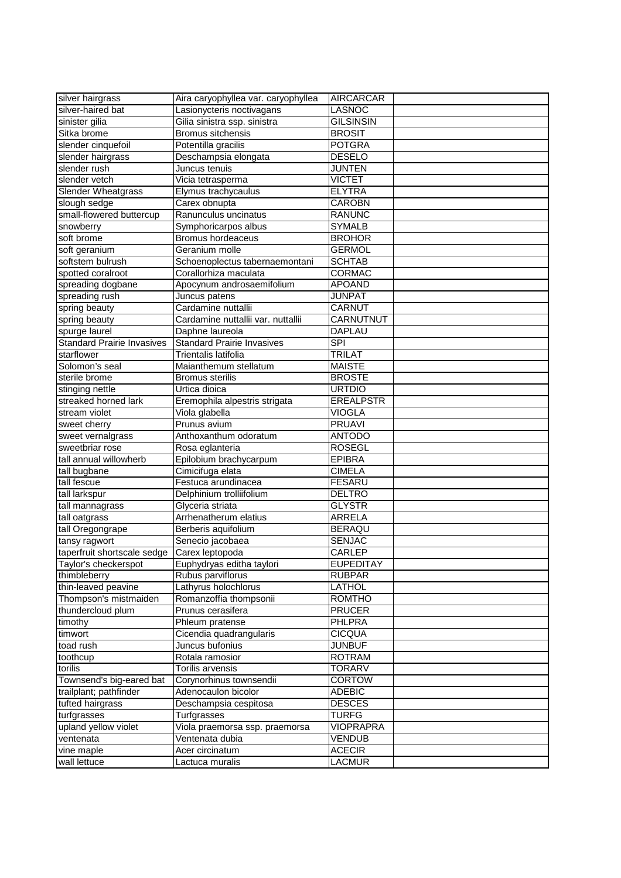| silver hairgrass                  | Aira caryophyllea var. caryophyllea | <b>AIRCARCAR</b> |  |
|-----------------------------------|-------------------------------------|------------------|--|
| silver-haired bat                 | Lasionycteris noctivagans           | LASNOC           |  |
| sinister gilia                    | Gilia sinistra ssp. sinistra        | <b>GILSINSIN</b> |  |
| Sitka brome                       | <b>Bromus sitchensis</b>            | <b>BROSIT</b>    |  |
| slender cinquefoil                | Potentilla gracilis                 | <b>POTGRA</b>    |  |
| slender hairgrass                 | Deschampsia elongata                | <b>DESELO</b>    |  |
| slender rush                      | Juncus tenuis                       | JUNTEN           |  |
| slender vetch                     | Vicia tetrasperma                   | <b>VICTET</b>    |  |
| <b>Slender Wheatgrass</b>         | Elymus trachycaulus                 | <b>ELYTRA</b>    |  |
| slough sedge                      | Carex obnupta                       | CAROBN           |  |
| small-flowered buttercup          | Ranunculus uncinatus                | <b>RANUNC</b>    |  |
| snowberry                         | Symphoricarpos albus                | <b>SYMALB</b>    |  |
| soft brome                        | <b>Bromus hordeaceus</b>            | <b>BROHOR</b>    |  |
| soft geranium                     | Geranium molle                      | <b>GERMOL</b>    |  |
| softstem bulrush                  | Schoenoplectus tabernaemontani      | <b>SCHTAB</b>    |  |
| spotted coralroot                 | Corallorhiza maculata               | <b>CORMAC</b>    |  |
| spreading dogbane                 | Apocynum androsaemifolium           | <b>APOAND</b>    |  |
| spreading rush                    | Juncus patens                       | <b>JUNPAT</b>    |  |
| spring beauty                     | Cardamine nuttallii                 | CARNUT           |  |
| spring beauty                     | Cardamine nuttallii var. nuttallii  | <b>CARNUTNUT</b> |  |
| spurge laurel                     | Daphne laureola                     | <b>DAPLAU</b>    |  |
| <b>Standard Prairie Invasives</b> | <b>Standard Prairie Invasives</b>   | <b>SPI</b>       |  |
| starflower                        | Trientalis latifolia                | TRILAT           |  |
| Solomon's seal                    | Maianthemum stellatum               | <b>MAISTE</b>    |  |
| sterile brome                     | <b>Bromus sterilis</b>              | <b>BROSTE</b>    |  |
| stinging nettle                   | Urtica dioica                       | <b>URTDIO</b>    |  |
| streaked horned lark              | Eremophila alpestris strigata       | <b>EREALPSTR</b> |  |
| stream violet                     | Viola glabella                      | <b>VIOGLA</b>    |  |
| sweet cherry                      | Prunus avium                        | <b>PRUAVI</b>    |  |
| sweet vernalgrass                 | Anthoxanthum odoratum               | <b>ANTODO</b>    |  |
| sweetbriar rose                   | Rosa eglanteria                     | <b>ROSEGL</b>    |  |
| tall annual willowherb            | Epilobium brachycarpum              | <b>EPIBRA</b>    |  |
| tall bugbane                      | Cimicifuga elata                    | <b>CIMELA</b>    |  |
| tall fescue                       | Festuca arundinacea                 | <b>FESARU</b>    |  |
| tall larkspur                     | Delphinium trolliifolium            | <b>DELTRO</b>    |  |
| tall mannagrass                   | Glyceria striata                    | <b>GLYSTR</b>    |  |
| tall oatgrass                     | Arrhenatherum elatius               | ARRELA           |  |
| tall Oregongrape                  | Berberis aquifolium                 | <b>BERAQU</b>    |  |
| tansy ragwort                     | Senecio jacobaea                    | <b>SENJAC</b>    |  |
| taperfruit shortscale sedge       | Carex leptopoda                     | CARLEP           |  |
| Taylor's checkerspot              | Euphydryas editha taylori           | <b>EUPEDITAY</b> |  |
| thimbleberry                      | Rubus parviflorus                   | RUBPAR           |  |
| thin-leaved peavine               | Lathyrus holochlorus                | LATHOL           |  |
| Thompson's mistmaiden             | Romanzoffia thompsonii              | ROMTHO           |  |
| thundercloud plum                 | Prunus cerasifera                   | <b>PRUCER</b>    |  |
| timothy                           | Phleum pratense                     | PHLPRA           |  |
| timwort                           | Cicendia quadrangularis             | <b>CICQUA</b>    |  |
| toad rush                         | Juncus bufonius                     | <b>JUNBUF</b>    |  |
| toothcup                          | Rotala ramosior                     | <b>ROTRAM</b>    |  |
| torilis                           | Torilis arvensis                    | <b>TORARV</b>    |  |
| Townsend's big-eared bat          | Corynorhinus townsendii             | <b>CORTOW</b>    |  |
| trailplant; pathfinder            | Adenocaulon bicolor                 | <b>ADEBIC</b>    |  |
| tufted hairgrass                  | Deschampsia cespitosa               | <b>DESCES</b>    |  |
| turfgrasses                       | Turfgrasses                         | <b>TURFG</b>     |  |
| upland yellow violet              | Viola praemorsa ssp. praemorsa      | VIOPRAPRA        |  |
| ventenata                         | Ventenata dubia                     | <b>VENDUB</b>    |  |
| vine maple                        | Acer circinatum                     | <b>ACECIR</b>    |  |
| wall lettuce                      | Lactuca muralis                     | LACMUR           |  |